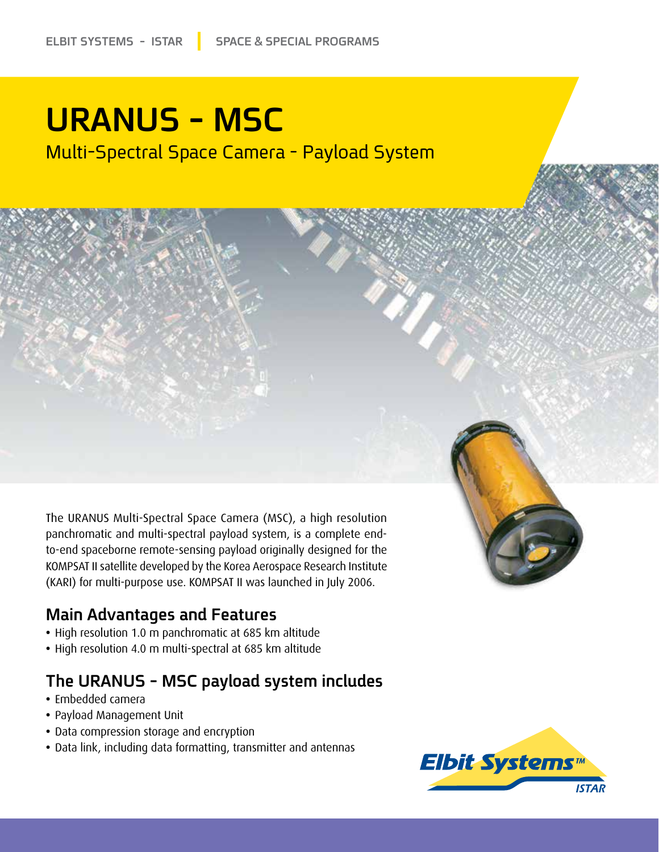# **URANUS - MSC**

Multi-Spectral Space Camera - Payload System



The URANUS Multi-Spectral Space Camera (MSC), a high resolution to-end spaceborne remote-sensing payload originally designed for the panchromatic and multi-spectral payload system, is a complete end-KOMPSAT II satellite developed by the Korea Aerospace Research Institute (KARI) for multi-purpose use. KOMPSAT II was launched in July 2006.

### **Main Advantages and Features**

- High resolution 1.0 m panchromatic at 685 km altitude
- High resolution 4.0 m multi-spectral at 685 km altitude

## The URANUS - MSC payload system includes

- Embedded camera
- Payload Management Unit
- Data compression storage and encryption
- Data link, including data formatting, transmitter and antennas